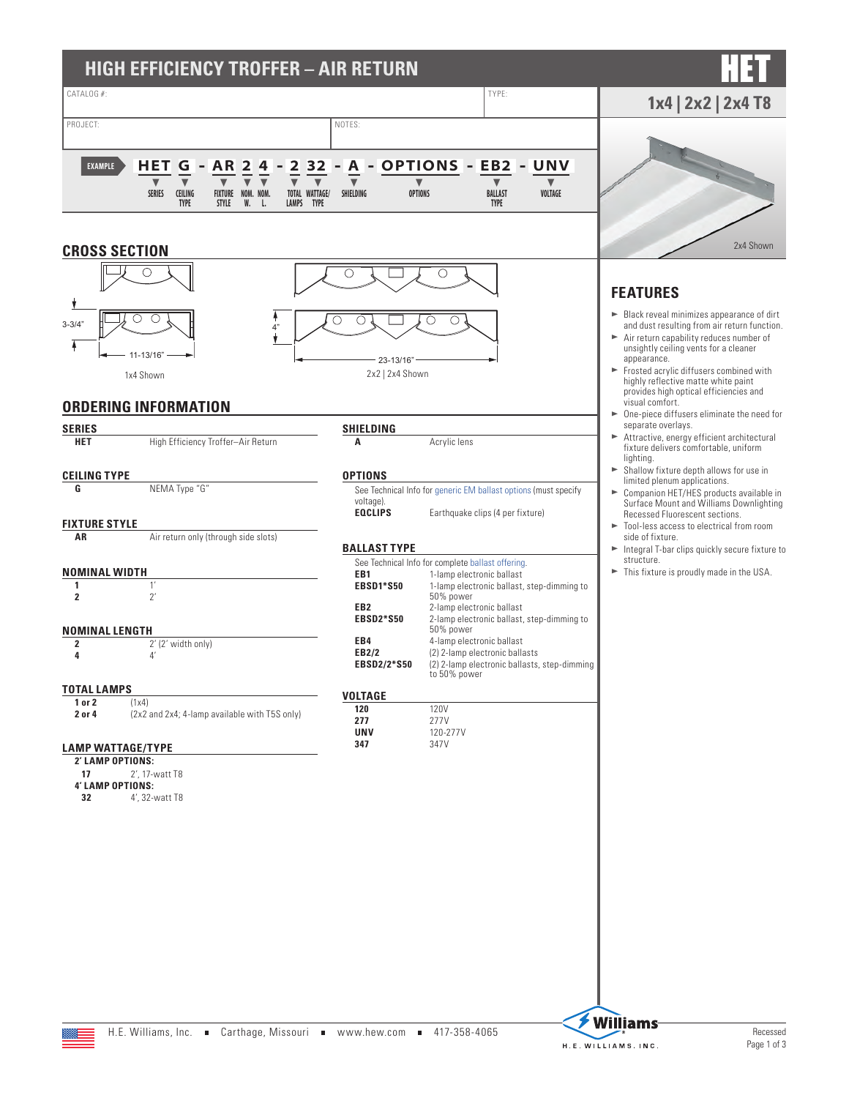

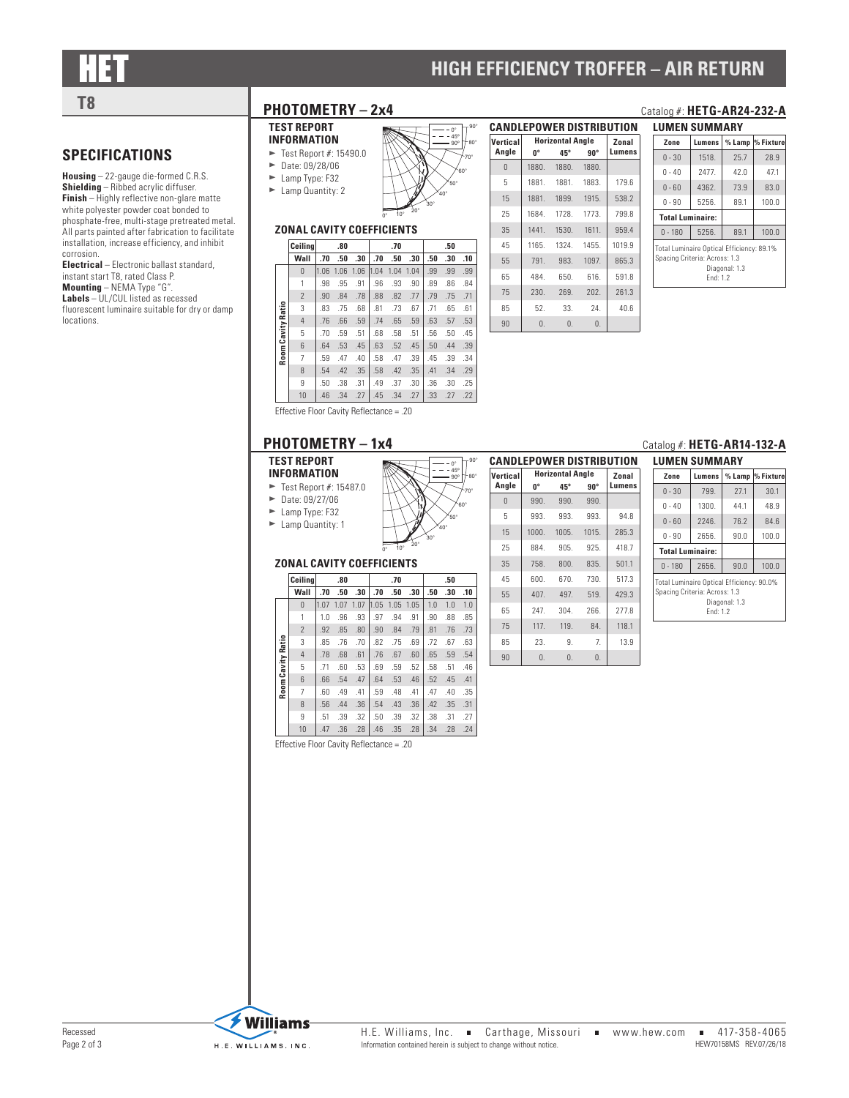**SPECIFICATIONS**

corrosion.

locations.

**Housing** – 22-gauge die-formed C.R.S. **Shielding** – Ribbed acrylic diffuser. **Finish** – Highly reflective non-glare matte white polyester powder coat bonded to phosphate-free, multi-stage pretreated metal. All parts painted after fabrication to facilitate installation, increase efficiency, and inhibit

**Electrical** – Electronic ballast standard, instant start T8, rated Class P. **Mounting** – NEMA Type "G". **Labels** – UL/CUL listed as recessed fluorescent luminaire suitable for dry or damp

## **HIGH EFFICIENCY TROFFER - AIR RETURN**

# **T8 PHOTOMETRY** - 2x4 **Catalog #: HETG-AR24-232-A**

### **TEST REPORT INFORMATION**

- $\blacktriangleright$  Test Report #: 15490.0  $\blacktriangleright$  Date: 09/28/06
- $\blacktriangleright$  Lamp Type: F32  $\blacktriangleright$  Lamp Quantity: 2



### **ZONAL CAVITY COEFFICIENTS**

|                     | Ceilina        |      | .80  |      |      | .70  |      |     | .50 |     |
|---------------------|----------------|------|------|------|------|------|------|-----|-----|-----|
|                     | Wall           | .70  | .50  | .30  | .70  | .50  | .30  | .50 | .30 | .10 |
|                     | $\Omega$       | 1.06 | 1.06 | 1.06 | 1.04 | 1.04 | 1.04 | .99 | .99 | .99 |
|                     | 1              | .98  | .95  | .91  | .96  | .93  | .90  | .89 | .86 | .84 |
|                     | $\overline{2}$ | .90  | .84  | .78  | .88  | .82  | .77  | .79 | .75 | .71 |
| <b>Cavity Ratio</b> | 3              | .83  | .75  | .68  | .81  | .73  | .67  | .71 | .65 | .61 |
|                     | 4              | .76  | .66  | .59  | .74  | .65  | .59  | .63 | .57 | .53 |
|                     | 5              | .70  | .59  | .51  | .68  | .58  | .51  | .56 | .50 | .45 |
|                     | 6              | .64  | .53  | .45  | .63  | .52  | .45  | .50 | .44 | .39 |
| Room                | 7              | .59  | .47  | .40  | .58  | .47  | .39  | .45 | .39 | .34 |
|                     | 8              | .54  | .42  | .35  | .58  | .42  | .35  | .41 | .34 | .29 |
|                     | 9              | .50  | .38  | .31  | .49  | .37  | .30  | .36 | .30 | .25 |
|                     | 10             | .46  | .34  | .27  | .45  | .34  | .27  | .33 | .27 | .22 |

| <b>CANDLEPOWER DISTRIBUTION</b> |                         |                   |             |        |  |  |  |  |  |
|---------------------------------|-------------------------|-------------------|-------------|--------|--|--|--|--|--|
| Vertical                        | <b>Horizontal Angle</b> | Zonal             |             |        |  |  |  |  |  |
| Angle                           | 0°                      | 45°               | $90^\circ$  | Lumens |  |  |  |  |  |
| $\theta$                        | 1880.                   |                   | 1880. 1880. |        |  |  |  |  |  |
| 5                               |                         | 1881. 1881. 1883. |             | 179.6  |  |  |  |  |  |
| 15                              |                         | 1881. 1899. 1915. |             | 538.2  |  |  |  |  |  |
| 25                              |                         | 1684. 1728.       | 1773.       | 799.8  |  |  |  |  |  |
| 35                              |                         | 1441. 1530.       | 1611.       | 959.4  |  |  |  |  |  |
| 45                              | 1165.                   | 1324.             | 1455.       | 1019.9 |  |  |  |  |  |
| 55                              | 791.                    | 983.              | 1097        | 865.3  |  |  |  |  |  |
| 65                              | 484.                    | 650.              | 616.        | 591.8  |  |  |  |  |  |
| 75                              | 230.                    | 269.              | 202.        | 261.3  |  |  |  |  |  |
| 85                              | 52.                     | 33.               | 24.         | 40.6   |  |  |  |  |  |
| 90                              | 0.                      | $\mathbf{0}$ .    | $\theta$ .  |        |  |  |  |  |  |

**Horizontal Angle Zonal**<br>  $0^{\circ}$  **45° 90° Lumens** 

 600. 670. 730. 517.3 407. 497. 519. 429.3 247. 304. 266. 277.8 117. 119. 84. 118.1 23. 9. 7. 13.9 90 0. 0. 0.

**0º 45º 90º Lumens**

| LUMEN SUMMARY                                                                                           |                        |      |                   |  |  |  |  |  |  |
|---------------------------------------------------------------------------------------------------------|------------------------|------|-------------------|--|--|--|--|--|--|
| Zone                                                                                                    | Lumens                 |      | % Lamp  % Fixture |  |  |  |  |  |  |
| $0 - 30$                                                                                                | 1518.                  | 25.7 | 28.9              |  |  |  |  |  |  |
| $0 - 40$                                                                                                | 2477                   | 42.0 | 47.1              |  |  |  |  |  |  |
| $0 - 60$                                                                                                | 4362.                  | 73.9 | 83.0              |  |  |  |  |  |  |
| $0 - 90$                                                                                                | 5256.                  | 89.1 | 100.0             |  |  |  |  |  |  |
| <b>Total Luminaire:</b>                                                                                 |                        |      |                   |  |  |  |  |  |  |
| $0 - 180$                                                                                               | 100.0<br>5256.<br>89.1 |      |                   |  |  |  |  |  |  |
| Total Luminaire Optical Efficiency: 89.1%<br>Spacing Criteria: Across: 1.3<br>Diagonal: 1.3<br>Fnd: 1.2 |                        |      |                   |  |  |  |  |  |  |

|                                       |  |                                  |  |  |  | .54 .42 .35 .58 .42 .35 .41 .54                 |  |  |  |  |
|---------------------------------------|--|----------------------------------|--|--|--|-------------------------------------------------|--|--|--|--|
|                                       |  |                                  |  |  |  | $.50$ $.38$ $.31$ $.49$ $.37$ $.30$ $.36$ $.36$ |  |  |  |  |
|                                       |  | 10 46 .34 .27 .45 .34 .27 .33 .3 |  |  |  |                                                 |  |  |  |  |
| Effective Floor Covity Reflectance 20 |  |                                  |  |  |  |                                                 |  |  |  |  |

Effective Floor Cavity Reflectance = .20

### **PHOTOMETRY - 1x4**

### **TEST REPORT**

**INFORMATION**  $\blacktriangleright$  Test Report #: 15487.0  $\blacktriangleright$  Date: 09/27/06

 $\blacktriangleright$  Lamp Type: F32

 $\blacktriangleright$  Lamp Quantity: 1



| <b>LUMEN SUMMARY</b>                                                                                    |        |          |              |  |  |  |  |  |
|---------------------------------------------------------------------------------------------------------|--------|----------|--------------|--|--|--|--|--|
| Zone                                                                                                    | Lumens | $%$ Lamp | % Fixture    |  |  |  |  |  |
| $0 - 30$                                                                                                | 799.   | 27.1     | 30.1         |  |  |  |  |  |
| $0 - 40$                                                                                                | 1300.  | 44.1     | 48.9<br>84.6 |  |  |  |  |  |
| $0 - 60$                                                                                                | 2246.  | 76.2     |              |  |  |  |  |  |
| $0 - 90$                                                                                                | 2656.  | 90.0     | 100.0        |  |  |  |  |  |
| <b>Total Luminaire:</b>                                                                                 |        |          |              |  |  |  |  |  |
| $0 - 180$                                                                                               | 2656.  | 90.0     | 100.0        |  |  |  |  |  |
| Total Luminaire Optical Efficiency: 90.0%<br>Spacing Criteria: Across: 1.3<br>Diagonal: 1.3<br>Fnd: 1.2 |        |          |              |  |  |  |  |  |

### **ZONAL CAVITY COEFFICIENTS**

|  |                    | Ceilina        |      | .80  |      |      | .70 |           |     | .50 |     |
|--|--------------------|----------------|------|------|------|------|-----|-----------|-----|-----|-----|
|  |                    | Wall           | .70  | .50  | .30  | .70  | .50 | .30       | .50 | .30 | .10 |
|  |                    | $\Omega$       | 1.07 | 1.07 | 1.07 | 1.05 |     | 1.05 1.05 | 1.0 | 1.0 | 1.0 |
|  |                    | 1              | 1.0  | .96  | .93  | .97  | .94 | .91       | .90 | .88 | .85 |
|  |                    | $\overline{2}$ | .92  | .85  | .80  | .90  | .84 | .79       | .81 | .76 | .73 |
|  | Ratio              | 3              | .85  | .76  | .70  | .82  | .75 | .69       | .72 | .67 | .63 |
|  |                    | 4              | .78  | .68  | .61  | .76  | .67 | .60       | .65 | .59 | .54 |
|  |                    | 5              | .71  | .60  | .53  | .69  | .59 | .52       | .58 | .51 | .46 |
|  | <b>Room Cavity</b> | 6              | .66  | .54  | .47  | .64  | .53 | .46       | .52 | .45 | .41 |
|  |                    | 7              | .60  | .49  | .41  | .59  | .48 | .41       | .47 | .40 | .35 |
|  |                    | 8              | .56  | .44  | .36  | .54  | .43 | .36       | .42 | .35 | .31 |
|  |                    | 9              | .51  | .39  | .32  | .50  | .39 | .32       | .38 | .31 | .27 |
|  |                    | 10             | .47  | .36  | .28  | .46  | .35 | .28       | .34 | .28 | .24 |

Effective Floor Cavity Reflectance = .20